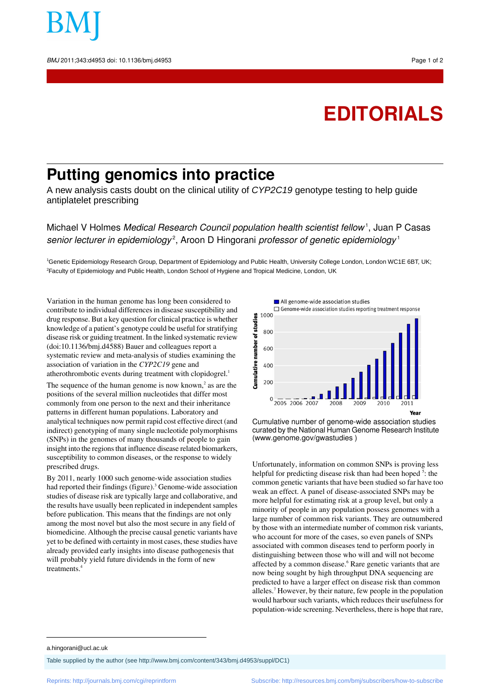

## **EDITORIALS**

## **Putting genomics into practice**

A new analysis casts doubt on the clinical utility of *CYP2C19* genotype testing to help guide antiplatelet prescribing

Michael V Holmes *Medical Research Council population health scientist fellow* <sup>1</sup>, Juan P Casas senior lecturer in epidemiology<sup>2</sup>, Aroon D Hingorani professor of genetic epidemiology<sup>1</sup>

<sup>1</sup>Genetic Epidemiology Research Group, Department of Epidemiology and Public Health, University College London, London WC1E 6BT, UK; <sup>2</sup>Faculty of Epidemiology and Public Health, London School of Hygiene and Tropical Medicine, London, UK

Variation in the human genome has long been considered to contribute to individual differences in disease susceptibility and drug response. But a key question for clinical practice is whether knowledge of a patient's genotype could be useful for stratifying disease risk or guiding treatment. In the linked systematic review (doi:10.1136/bmj.d4588) Bauer and colleagues report a systematic review and meta-analysis of studies examining the association of variation in the *CYP2C19* gene and atherothrombotic events during treatment with clopidogrel.<sup>1</sup>

The sequence of the human genome is now known, $2$  as are the positions of the several million nucleotides that differ most commonly from one person to the next and their inheritance patterns in different human populations. Laboratory and analytical techniques now permit rapid cost effective direct (and indirect) genotyping of many single nucleotide polymorphisms (SNPs) in the genomes of many thousands of people to gain insight into the regions that influence disease related biomarkers, susceptibility to common diseases, or the response to widely prescribed drugs.

By 2011, nearly 1000 such genome-wide association studies had reported their findings (figure).<sup>3</sup> Genome-wide association studies of disease risk are typically large and collaborative, and the results have usually been replicated in independent samples before publication. This means that the findings are not only among the most novel but also the most secure in any field of biomedicine. Although the precise causal genetic variants have yet to be defined with certainty in most cases, these studies have already provided early insights into disease pathogenesis that will probably yield future dividends in the form of new treatments.<sup>4</sup>



Cumulative number of genome-wide association studies curated by the National Human Genome Research Institute ([www.genome.gov/gwastudies](http://www.genome.gov/gwastudies) )

Unfortunately, information on common SNPs is proving less helpful for predicting disease risk than had been hoped <sup>5</sup>: the common genetic variants that have been studied so far have too weak an effect. A panel of disease-associated SNPs may be more helpful for estimating risk at a group level, but only a minority of people in any population possess genomes with a large number of common risk variants. They are outnumbered by those with an intermediate number of common risk variants, who account for more of the cases, so even panels of SNPs associated with common diseases tend to perform poorly in distinguishing between those who will and will not become affected by a common disease.<sup>6</sup> Rare genetic variants that are now being sought by high throughput DNA sequencing are predicted to have a larger effect on disease risk than common alleles.<sup>7</sup> However, by their nature, few people in the population would harbour such variants, which reduces their usefulness for population-wide screening. Nevertheless, there is hope that rare,

a.hingorani@ucl.ac.uk

Table supplied by the author (see <http://www.bmj.com/content/343/bmj.d4953/suppl/DC1>)